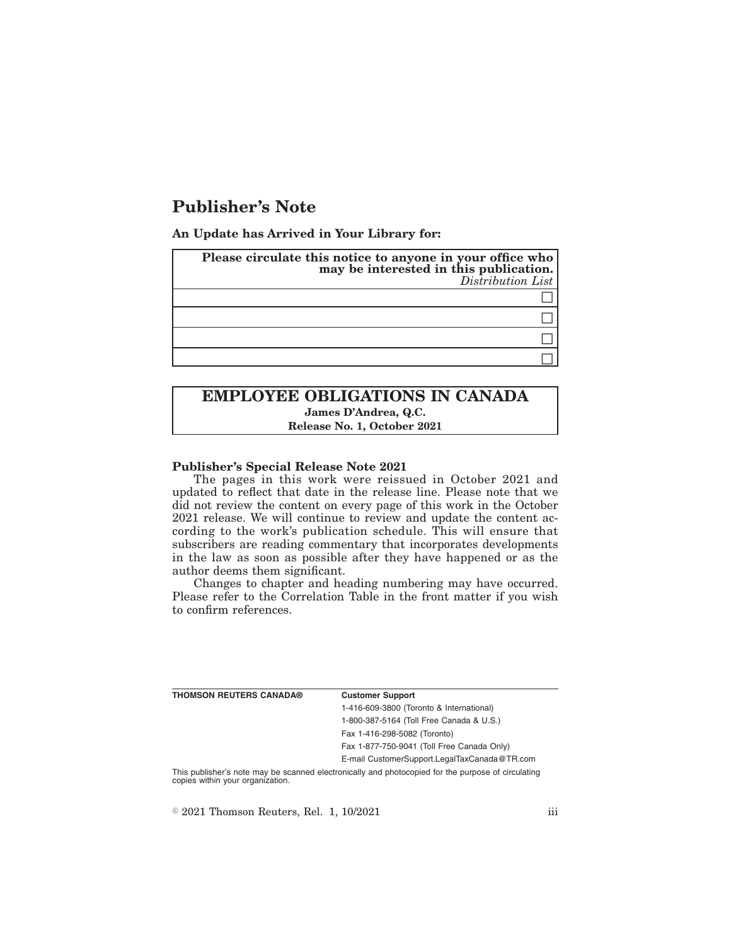# **Publisher's Note**

**An Update has Arrived in Your Library for:**

|  | Please circulate this notice to anyone in your office who<br>may be interested in this publication.<br>Distribution List |
|--|--------------------------------------------------------------------------------------------------------------------------|
|  |                                                                                                                          |
|  |                                                                                                                          |
|  |                                                                                                                          |
|  |                                                                                                                          |

# **EMPLOYEE OBLIGATIONS IN CANADA James D'Andrea, Q.C. Release No. 1, October 2021**

### **Publisher's Special Release Note 2021**

The pages in this work were reissued in October 2021 and updated to reflect that date in the release line. Please note that we did not review the content on every page of this work in the October 2021 release. We will continue to review and update the content according to the work's publication schedule. This will ensure that subscribers are reading commentary that incorporates developments in the law as soon as possible after they have happened or as the author deems them significant.

Changes to chapter and heading numbering may have occurred. Please refer to the Correlation Table in the front matter if you wish to confirm references.

| <b>Customer Support</b>                      |
|----------------------------------------------|
| 1-416-609-3800 (Toronto & International)     |
| 1-800-387-5164 (Toll Free Canada & U.S.)     |
| Fax 1-416-298-5082 (Toronto)                 |
| Fax 1-877-750-9041 (Toll Free Canada Only)   |
| E-mail CustomerSupport.LegalTaxCanada@TR.com |
|                                              |

This publisher's note may be scanned electronically and photocopied for the purpose of circulating copies within your organization.

 $\textdegree$  2021 Thomson Reuters, Rel. 1, 10/2021 iii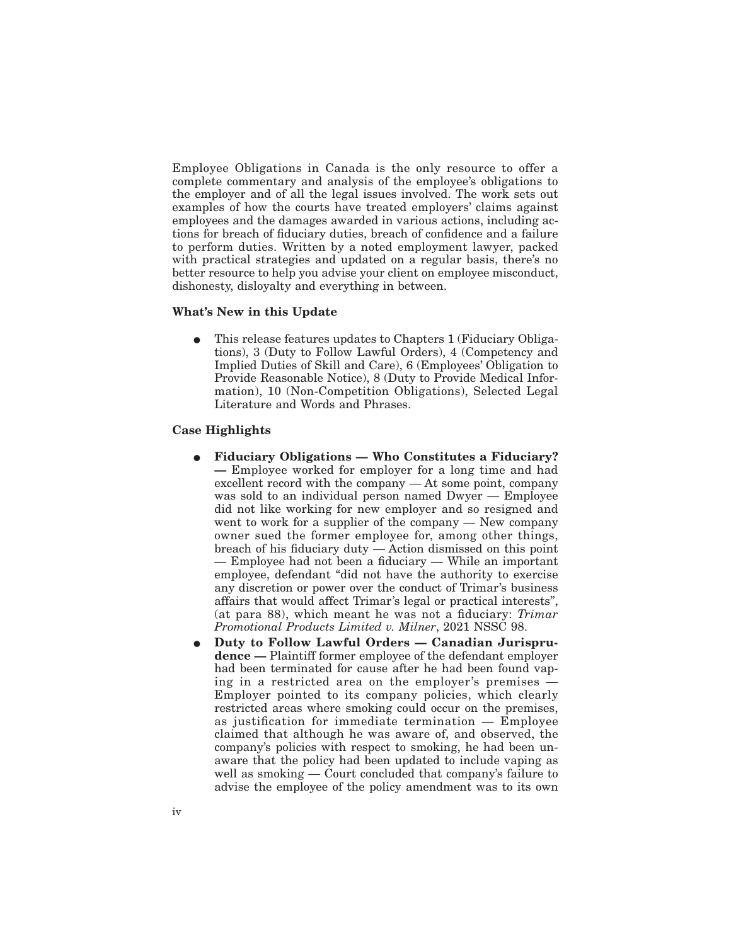Employee Obligations in Canada is the only resource to offer a complete commentary and analysis of the employee's obligations to the employer and of all the legal issues involved. The work sets out examples of how the courts have treated employers' claims against employees and the damages awarded in various actions, including actions for breach of fiduciary duties, breach of confidence and a failure to perform duties. Written by a noted employment lawyer, packed with practical strategies and updated on a regular basis, there's no better resource to help you advise your client on employee misconduct, dishonesty, disloyalty and everything in between.

#### **What's New in this Update**

This release features updates to Chapters 1 (Fiduciary Obligations), 3 (Duty to Follow Lawful Orders), 4 (Competency and Implied Duties of Skill and Care), 6 (Employees' Obligation to Provide Reasonable Notice), 8 (Duty to Provide Medical Information), 10 (Non-Competition Obligations), Selected Legal Literature and Words and Phrases.

#### **Case Highlights**

- Fiduciary Obligations Who Constitutes a Fiduciary? **—** Employee worked for employer for a long time and had excellent record with the company — At some point, company was sold to an individual person named Dwyer — Employee did not like working for new employer and so resigned and went to work for a supplier of the company — New company owner sued the former employee for, among other things, breach of his fiduciary duty — Action dismissed on this point — Employee had not been a fiduciary — While an important employee, defendant "did not have the authority to exercise any discretion or power over the conduct of Trimar's business affairs that would affect Trimar's legal or practical interests", (at para 88), which meant he was not a fiduciary: *Trimar Promotional Products Limited v. Milner*, 2021 NSSC 98.
- E **Duty to Follow Lawful Orders Canadian Jurisprudence —** Plaintiff former employee of the defendant employer had been terminated for cause after he had been found vaping in a restricted area on the employer's premises — Employer pointed to its company policies, which clearly restricted areas where smoking could occur on the premises, as justification for immediate termination — Employee claimed that although he was aware of, and observed, the company's policies with respect to smoking, he had been unaware that the policy had been updated to include vaping as well as smoking — Court concluded that company's failure to advise the employee of the policy amendment was to its own